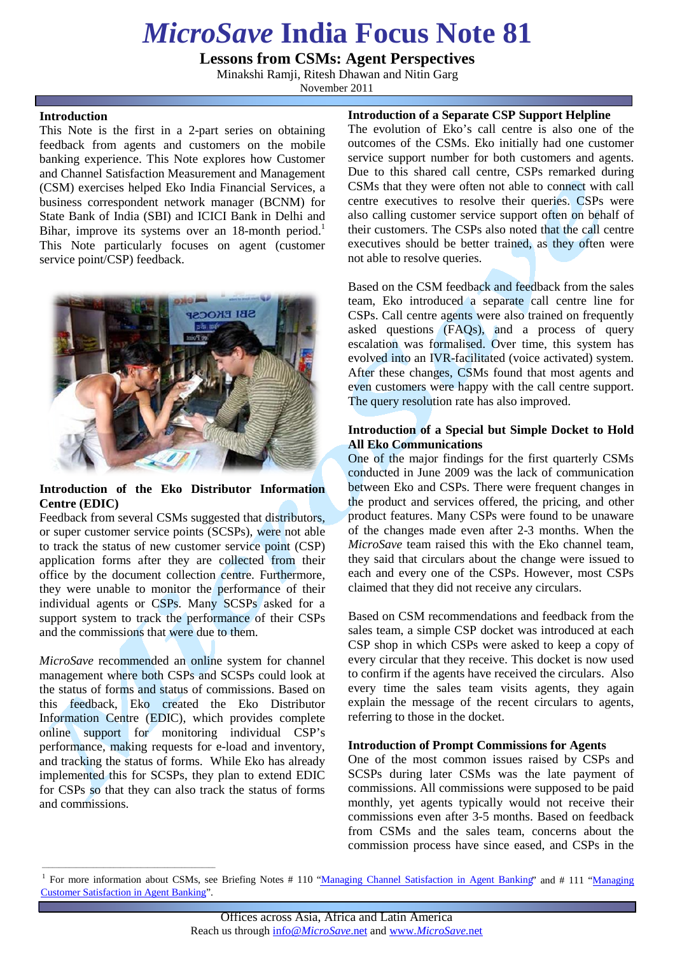# *MicroSave* **India Focus Note 81**

**Lessons from CSMs: Agent Perspectives**

Minakshi Ramji, Ritesh Dhawan and Nitin Garg

November 2011

#### **Introduction**

This Note is the first in a 2-part series on obtaining feedback from agents and customers on the mobile banking experience. This Note explores how Customer and Channel Satisfaction Measurement and Management (CSM) exercises helped Eko India Financial Services, a business correspondent network manager (BCNM) for State Bank of India (SBI) and ICICI Bank in Delhi and Bihar, improve its systems over an  $18$ -month period.<sup>1</sup> This Note particularly focuses on agent (customer service point/CSP) feedback.



#### **Introduction of the Eko Distributor Information Centre (EDIC)**

Feedback from several CSMs suggested that distributors, or super customer service points (SCSPs), were not able to track the status of new customer service point (CSP) application forms after they are collected from their office by the document collection centre. Furthermore, they were unable to monitor the performance of their individual agents or CSPs. Many SCSPs asked for a support system to track the performance of their CSPs and the commissions that were due to them.

*MicroSave* recommended an online system for channel management where both CSPs and SCSPs could look at the status of forms and status of commissions. Based on this feedback, Eko created the Eko Distributor Information Centre (EDIC), which provides complete online support for monitoring individual CSP's performance, making requests for e-load and inventory, and tracking the status of forms. While Eko has already implemented this for SCSPs, they plan to extend EDIC for CSPs so that they can also track the status of forms and commissions.

\_\_\_\_\_\_\_\_\_\_\_\_\_\_\_\_\_\_\_\_\_\_\_\_\_\_\_\_\_\_\_\_\_\_\_\_\_\_\_\_\_\_\_\_\_\_\_\_\_\_\_

**Introduction of a Separate CSP Support Helpline**

The evolution of Eko's call centre is also one of the outcomes of the CSMs. Eko initially had one customer service support number for both customers and agents. Due to this shared call centre, CSPs remarked during CSMs that they were often not able to connect with call centre executives to resolve their queries. CSPs were also calling customer service support often on behalf of their customers. The CSPs also noted that the call centre executives should be better trained, as they often were not able to resolve queries.

Based on the CSM feedback and feedback from the sales team, Eko introduced a separate call centre line for CSPs. Call centre agents were also trained on frequently asked questions (FAQs), and a process of query escalation was formalised. Over time, this system has evolved into an IVR-facilitated (voice activated) system. After these changes, CSMs found that most agents and even customers were happy with the call centre support. The query resolution rate has also improved.

### **Introduction of a Special but Simple Docket to Hold All Eko Communications**

One of the major findings for the first quarterly CSMs conducted in June 2009 was the lack of communication between Eko and CSPs. There were frequent changes in the product and services offered, the pricing, and other product features. Many CSPs were found to be unaware of the changes made even after 2-3 months. When the *MicroSave* team raised this with the Eko channel team, they said that circulars about the change were issued to each and every one of the CSPs. However, most CSPs claimed that they did not receive any circulars.

Based on CSM recommendations and feedback from the sales team, a simple CSP docket was introduced at each CSP shop in which CSPs were asked to keep a copy of every circular that they receive. This docket is now used to confirm if the agents have received the circulars. Also every time the sales team visits agents, they again explain the message of the recent circulars to agents, referring to those in the docket.

#### **Introduction of Prompt Commissions for Agents**

One of the most common issues raised by CSPs and SCSPs during later CSMs was the late payment of commissions. All commissions were supposed to be paid monthly, yet agents typically would not receive their commissions even after 3-5 months. Based on feedback from CSMs and the sales team, concerns about the commission process have since eased, and CSPs in the

For more information about CSMs, see Briefing Notes # 110 ["Managing Channel Satisfaction in Agent Banking"](http://microsave.org/sites/files/technicalBriefs/briefingNotes/BN_110_Managing_Channel_Satisfaction_in_Agent_Banking.pdf) and # 111 "Managing [Customer Satisfaction in Agent Banking"](http://microsave.org/sites/files/technicalBriefs/briefingNotes/BN_111_Managing_Customer_Satisfaction_in_Agent_Banking.pdf).